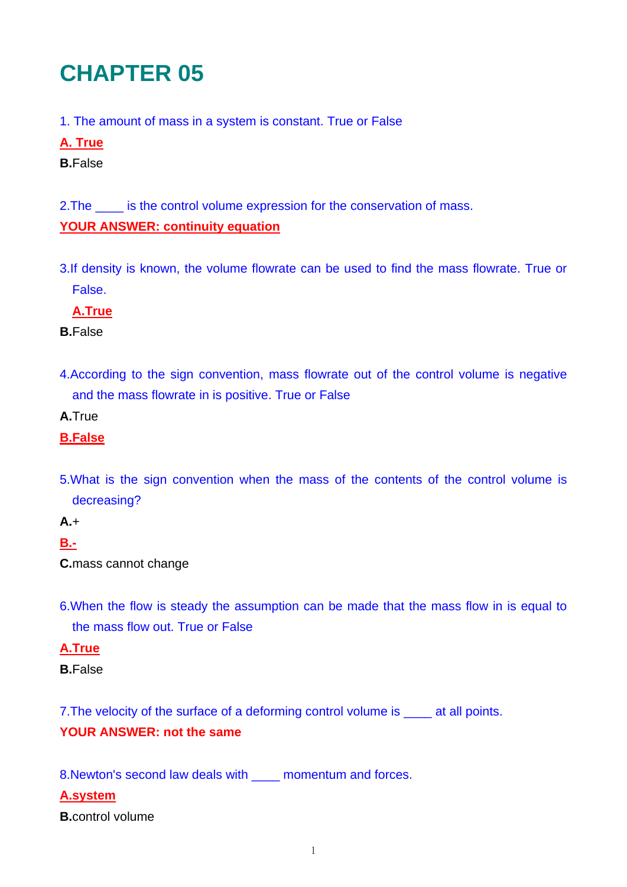# **CHAPTER 05**

- 1. The amount of mass in a system is constant. True or False
- **A. True**
- **B.**False

2. The \_\_\_\_\_ is the control volume expression for the conservation of mass.

## **YOUR ANSWER: continuity equation**

3.If density is known, the volume flowrate can be used to find the mass flowrate. True or False.

**A.True**

**B.**False

4.According to the sign convention, mass flowrate out of the control volume is negative and the mass flowrate in is positive. True or False

**A.**True

- **B.False**
- 5.What is the sign convention when the mass of the contents of the control volume is decreasing?

**A.**+

# **B.-**

**C.**mass cannot change

6.When the flow is steady the assumption can be made that the mass flow in is equal to the mass flow out. True or False

#### **A.True**

**B.**False

7. The velocity of the surface of a deforming control volume is \_\_\_\_\_ at all points.

#### **YOUR ANSWER: not the same**

8.Newton's second law deals with \_\_\_\_ momentum and forces.

#### **A.system**

**B.**control volume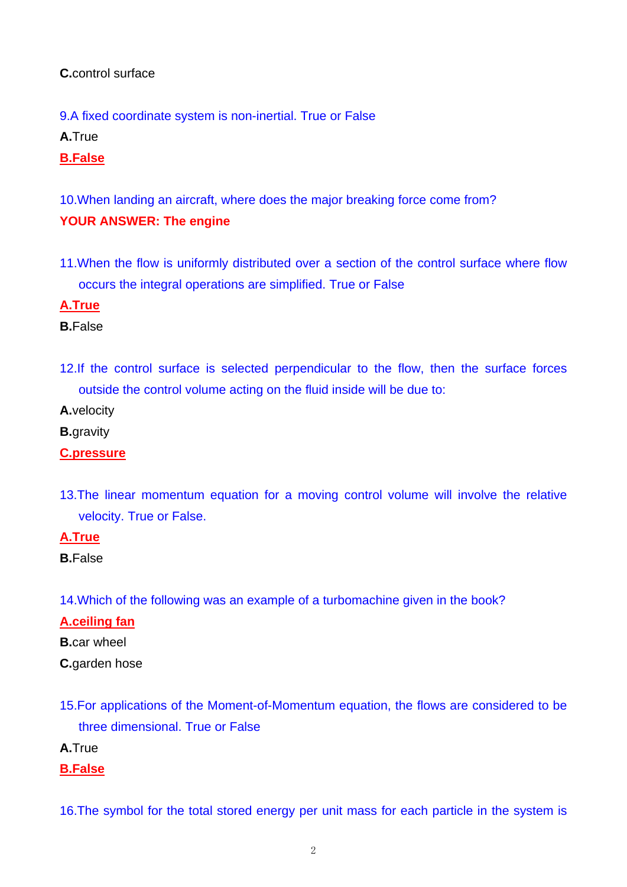## **C.**control surface

9.A fixed coordinate system is non-inertial. True or False

**A.**True

#### **B.False**

10.When landing an aircraft, where does the major breaking force come from? **YOUR ANSWER: The engine** 

11.When the flow is uniformly distributed over a section of the control surface where flow occurs the integral operations are simplified. True or False

#### **A.True**

**B.**False

12.If the control surface is selected perpendicular to the flow, then the surface forces outside the control volume acting on the fluid inside will be due to:

**A.**velocity

**B.**gravity

#### **C.pressure**

13.The linear momentum equation for a moving control volume will involve the relative velocity. True or False.

#### **A.True**

14.Which of the following was an example of a turbomachine given in the book?

#### **A.ceiling fan**

**B.**car wheel

**C.**garden hose

- 15.For applications of the Moment-of-Momentum equation, the flows are considered to be three dimensional. True or False
- **A.**True

#### **B.False**

16.The symbol for the total stored energy per unit mass for each particle in the system is

**B.**False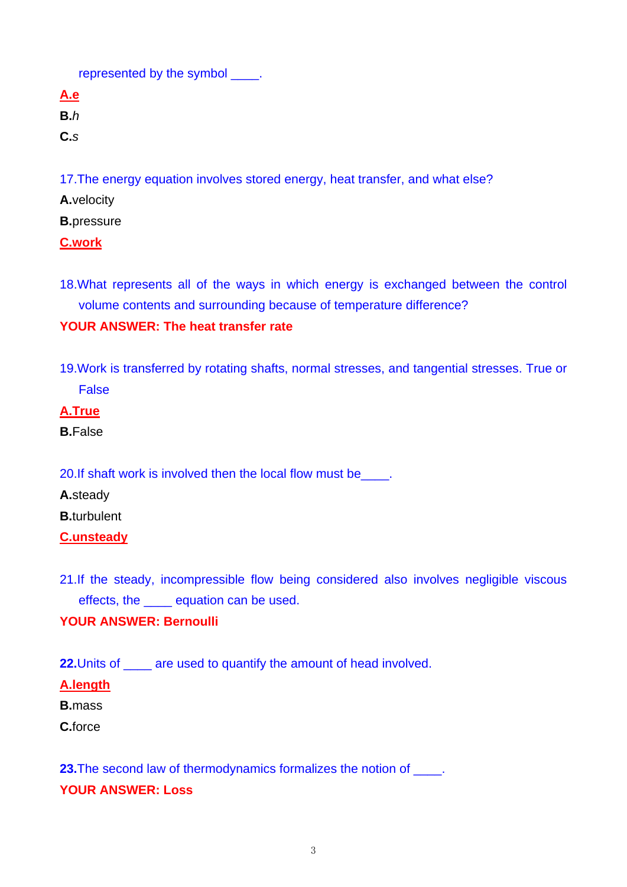represented by the symbol \_\_\_\_.

**A.e**

**B.***h*

**C.***s*

17.The energy equation involves stored energy, heat transfer, and what else?

**A.**velocity

**B.**pressure

# **C.work**

18.What represents all of the ways in which energy is exchanged between the control volume contents and surrounding because of temperature difference?

# **YOUR ANSWER: The heat transfer rate**

19.Work is transferred by rotating shafts, normal stresses, and tangential stresses. True or False

# **A.True**

**B.**False

20.If shaft work is involved then the local flow must be\_\_\_\_.

**A.**steady

**B.**turbulent

# **C.unsteady**

21.If the steady, incompressible flow being considered also involves negligible viscous effects, the \_\_\_\_ equation can be used.

# **YOUR ANSWER: Bernoulli**

**22.**Units of \_\_\_\_ are used to quantify the amount of head involved.

# **A.length**

**B.**mass

**C.**force

**23.**The second law of thermodynamics formalizes the notion of \_\_\_\_\_. **YOUR ANSWER: Loss**